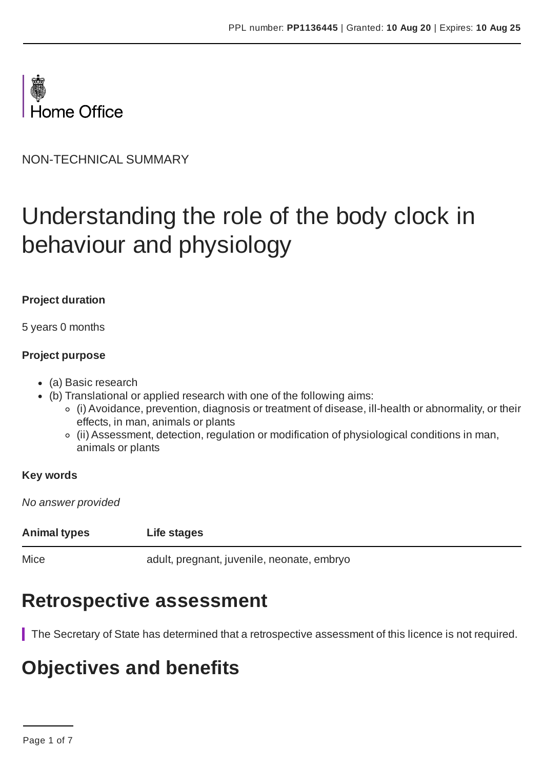

NON-TECHNICAL SUMMARY

# Understanding the role of the body clock in behaviour and physiology

#### **Project duration**

5 years 0 months

#### **Project purpose**

- (a) Basic research
- (b) Translational or applied research with one of the following aims:
	- (i) Avoidance, prevention, diagnosis or treatment of disease, ill-health or abnormality, or their effects, in man, animals or plants
	- (ii) Assessment, detection, regulation or modification of physiological conditions in man, animals or plants

#### **Key words**

*No answer provided*

| <b>Animal types</b> | Life stages                                |
|---------------------|--------------------------------------------|
| Mice                | adult, pregnant, juvenile, neonate, embryo |

### **Retrospective assessment**

The Secretary of State has determined that a retrospective assessment of this licence is not required.

### **Objectives and benefits**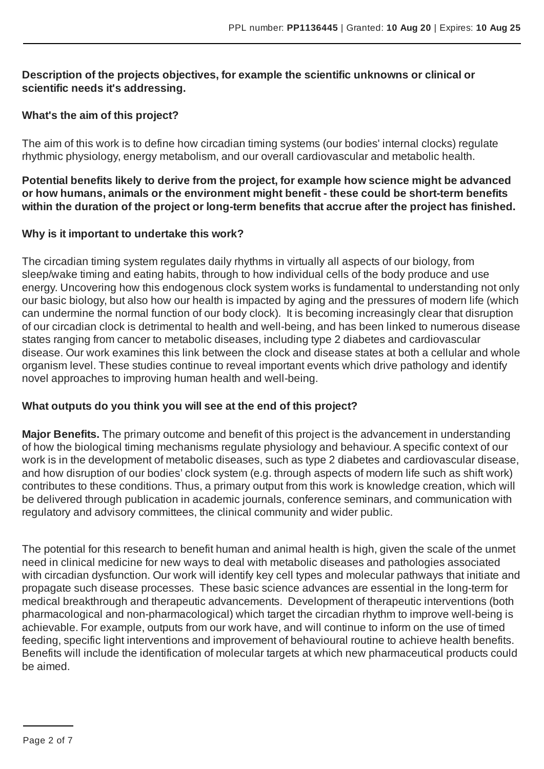#### **Description of the projects objectives, for example the scientific unknowns or clinical or scientific needs it's addressing.**

#### **What's the aim of this project?**

The aim of this work is to define how circadian timing systems (our bodies' internal clocks) regulate rhythmic physiology, energy metabolism, and our overall cardiovascular and metabolic health.

**Potential benefits likely to derive from the project, for example how science might be advanced or how humans, animals or the environment might benefit - these could be short-term benefits within the duration of the project or long-term benefits that accrue after the project has finished.**

#### **Why is it important to undertake this work?**

The circadian timing system regulates daily rhythms in virtually all aspects of our biology, from sleep/wake timing and eating habits, through to how individual cells of the body produce and use energy. Uncovering how this endogenous clock system works is fundamental to understanding not only our basic biology, but also how our health is impacted by aging and the pressures of modern life (which can undermine the normal function of our body clock). It is becoming increasingly clear that disruption of our circadian clock is detrimental to health and well-being, and has been linked to numerous disease states ranging from cancer to metabolic diseases, including type 2 diabetes and cardiovascular disease. Our work examines this link between the clock and disease states at both a cellular and whole organism level. These studies continue to reveal important events which drive pathology and identify novel approaches to improving human health and well-being.

#### **What outputs do you think you will see at the end of this project?**

**Major Benefits.** The primary outcome and benefit of this project is the advancement in understanding of how the biological timing mechanisms regulate physiology and behaviour.A specific context of our work is in the development of metabolic diseases, such as type 2 diabetes and cardiovascular disease, and how disruption of our bodies' clock system (e.g. through aspects of modern life such as shift work) contributes to these conditions. Thus, a primary output from this work is knowledge creation, which will be delivered through publication in academic journals, conference seminars, and communication with regulatory and advisory committees, the clinical community and wider public.

The potential for this research to benefit human and animal health is high, given the scale of the unmet need in clinical medicine for new ways to deal with metabolic diseases and pathologies associated with circadian dysfunction. Our work will identify key cell types and molecular pathways that initiate and propagate such disease processes. These basic science advances are essential in the long-term for medical breakthrough and therapeutic advancements. Development of therapeutic interventions (both pharmacological and non-pharmacological) which target the circadian rhythm to improve well-being is achievable. For example, outputs from our work have, and will continue to inform on the use of timed feeding, specific light interventions and improvement of behavioural routine to achieve health benefits. Benefits will include the identification of molecular targets at which new pharmaceutical products could be aimed.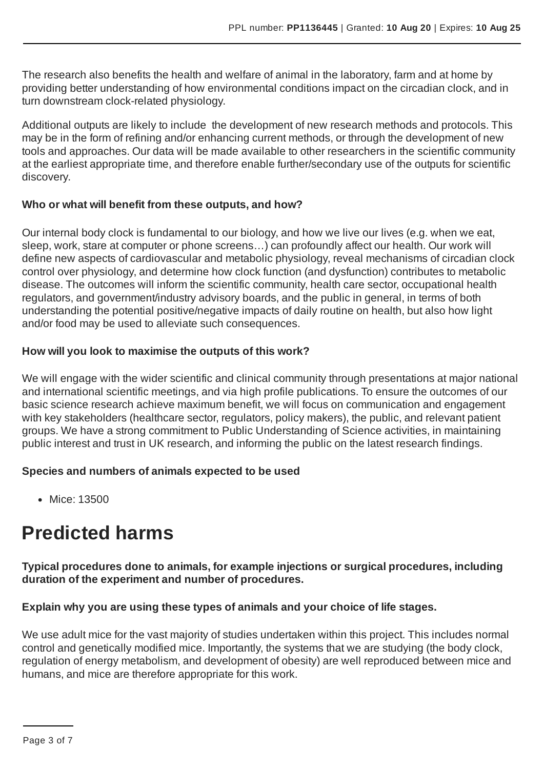The research also benefits the health and welfare of animal in the laboratory, farm and at home by providing better understanding of how environmental conditions impact on the circadian clock, and in turn downstream clock-related physiology.

Additional outputs are likely to include the development of new research methods and protocols. This may be in the form of refining and/or enhancing current methods, or through the development of new tools and approaches. Our data will be made available to other researchers in the scientific community at the earliest appropriate time, and therefore enable further/secondary use of the outputs for scientific discovery.

#### **Who or what will benefit from these outputs, and how?**

Our internal body clock is fundamental to our biology, and how we live our lives (e.g. when we eat, sleep, work, stare at computer or phone screens…) can profoundly affect our health. Our work will define new aspects of cardiovascular and metabolic physiology, reveal mechanisms of circadian clock control over physiology, and determine how clock function (and dysfunction) contributes to metabolic disease. The outcomes will inform the scientific community, health care sector, occupational health regulators, and government/industry advisory boards, and the public in general, in terms of both understanding the potential positive/negative impacts of daily routine on health, but also how light and/or food may be used to alleviate such consequences.

#### **How will you look to maximise the outputs of this work?**

We will engage with the wider scientific and clinical community through presentations at major national and international scientific meetings, and via high profile publications. To ensure the outcomes of our basic science research achieve maximum benefit, we will focus on communication and engagement with key stakeholders (healthcare sector, regulators, policy makers), the public, and relevant patient groups. We have a strong commitment to Public Understanding of Science activities, in maintaining public interest and trust in UK research, and informing the public on the latest research findings.

#### **Species and numbers of animals expected to be used**

• Mice: 13500

## **Predicted harms**

**Typical procedures done to animals, for example injections or surgical procedures, including duration of the experiment and number of procedures.**

#### **Explain why you are using these types of animals and your choice of life stages.**

We use adult mice for the vast majority of studies undertaken within this project. This includes normal control and genetically modified mice. Importantly, the systems that we are studying (the body clock, regulation of energy metabolism, and development of obesity) are well reproduced between mice and humans, and mice are therefore appropriate for this work.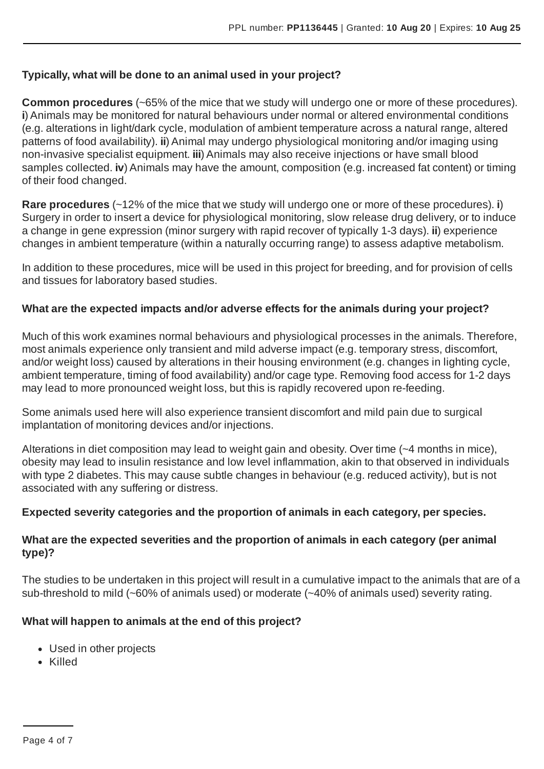#### **Typically, what will be done to an animal used in your project?**

**Common procedures** (~65% of the mice that we study will undergo one or more of these procedures). **i**) Animals may be monitored for natural behaviours under normal or altered environmental conditions (e.g. alterations in light/dark cycle, modulation of ambient temperature across a natural range, altered patterns of food availability). **ii**) Animal may undergo physiological monitoring and/or imaging using non-invasive specialist equipment. **iii**) Animals may also receive injections or have small blood samples collected. **iv**) Animals may have the amount, composition (e.g. increased fat content) or timing of their food changed.

**Rare procedures** (~12% of the mice that we study will undergo one or more of these procedures). **i**) Surgery in order to insert a device for physiological monitoring, slow release drug delivery, or to induce a change in gene expression (minor surgery with rapid recover of typically 1-3 days). **ii**) experience changes in ambient temperature (within a naturally occurring range) to assess adaptive metabolism.

In addition to these procedures, mice will be used in this project for breeding, and for provision of cells and tissues for laboratory based studies.

#### **What are the expected impacts and/or adverse effects for the animals during your project?**

Much of this work examines normal behaviours and physiological processes in the animals. Therefore, most animals experience only transient and mild adverse impact (e.g. temporary stress, discomfort, and/or weight loss) caused by alterations in their housing environment (e.g. changes in lighting cycle, ambient temperature, timing of food availability) and/or cage type. Removing food access for 1-2 days may lead to more pronounced weight loss, but this is rapidly recovered upon re-feeding.

Some animals used here will also experience transient discomfort and mild pain due to surgical implantation of monitoring devices and/or injections.

Alterations in diet composition may lead to weight gain and obesity. Over time (~4 months in mice), obesity may lead to insulin resistance and low level inflammation, akin to that observed in individuals with type 2 diabetes. This may cause subtle changes in behaviour (e.g. reduced activity), but is not associated with any suffering or distress.

#### **Expected severity categories and the proportion of animals in each category, per species.**

#### **What are the expected severities and the proportion of animals in each category (per animal type)?**

The studies to be undertaken in this project will result in a cumulative impact to the animals that are of a sub-threshold to mild (~60% of animals used) or moderate (~40% of animals used) severity rating.

#### **What will happen to animals at the end of this project?**

- Used in other projects
- Killed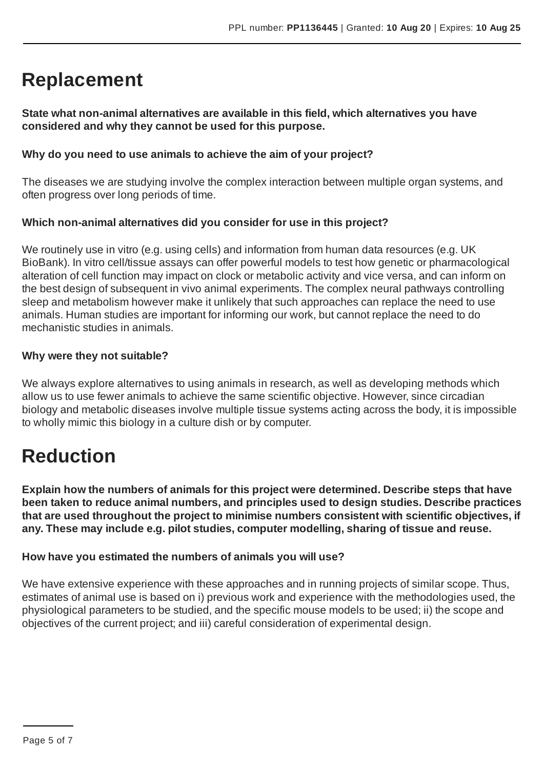## **Replacement**

**State what non-animal alternatives are available in this field, which alternatives you have considered and why they cannot be used for this purpose.**

#### **Why do you need to use animals to achieve the aim of your project?**

The diseases we are studying involve the complex interaction between multiple organ systems, and often progress over long periods of time.

#### **Which non-animal alternatives did you consider for use in this project?**

We routinely use in vitro (e.g. using cells) and information from human data resources (e.g. UK BioBank). In vitro cell/tissue assays can offer powerful models to test how genetic or pharmacological alteration of cell function may impact on clock or metabolic activity and vice versa, and can inform on the best design of subsequent in vivo animal experiments. The complex neural pathways controlling sleep and metabolism however make it unlikely that such approaches can replace the need to use animals. Human studies are important for informing our work, but cannot replace the need to do mechanistic studies in animals.

#### **Why were they not suitable?**

We always explore alternatives to using animals in research, as well as developing methods which allow us to use fewer animals to achieve the same scientific objective. However, since circadian biology and metabolic diseases involve multiple tissue systems acting across the body, it is impossible to wholly mimic this biology in a culture dish or by computer.

### **Reduction**

**Explain how the numbers of animals for this project were determined. Describe steps that have been taken to reduce animal numbers, and principles used to design studies. Describe practices that are used throughout the project to minimise numbers consistent with scientific objectives, if any. These may include e.g. pilot studies, computer modelling, sharing of tissue and reuse.**

#### **How have you estimated the numbers of animals you will use?**

We have extensive experience with these approaches and in running projects of similar scope. Thus, estimates of animal use is based on i) previous work and experience with the methodologies used, the physiological parameters to be studied, and the specific mouse models to be used; ii) the scope and objectives of the current project; and iii) careful consideration of experimental design.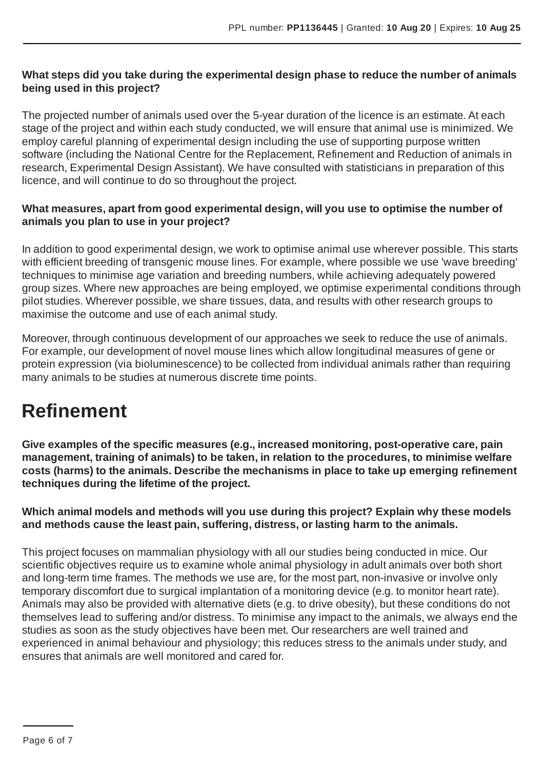#### **What steps did you take during the experimental design phase to reduce the number of animals being used in this project?**

The projected number of animals used over the 5-year duration of the licence is an estimate. At each stage of the project and within each study conducted, we will ensure that animal use is minimized. We employ careful planning of experimental design including the use of supporting purpose written software (including the National Centre for the Replacement, Refinement and Reduction of animals in research, Experimental Design Assistant). We have consulted with statisticians in preparation of this licence, and will continue to do so throughout the project.

#### **What measures, apart from good experimental design, will you use to optimise the number of animals you plan to use in your project?**

In addition to good experimental design, we work to optimise animal use wherever possible. This starts with efficient breeding of transgenic mouse lines. For example, where possible we use 'wave breeding' techniques to minimise age variation and breeding numbers, while achieving adequately powered group sizes. Where new approaches are being employed, we optimise experimental conditions through pilot studies. Wherever possible, we share tissues, data, and results with other research groups to maximise the outcome and use of each animal study.

Moreover, through continuous development of our approaches we seek to reduce the use of animals. For example, our development of novel mouse lines which allow longitudinal measures of gene or protein expression (via bioluminescence) to be collected from individual animals rather than requiring many animals to be studies at numerous discrete time points.

### **Refinement**

**Give examples of the specific measures (e.g., increased monitoring, post-operative care, pain management, training of animals) to be taken, in relation to the procedures, to minimise welfare costs (harms) to the animals. Describe the mechanisms in place to take up emerging refinement techniques during the lifetime of the project.**

#### **Which animal models and methods will you use during this project? Explain why these models and methods cause the least pain, suffering, distress, or lasting harm to the animals.**

This project focuses on mammalian physiology with all our studies being conducted in mice. Our scientific objectives require us to examine whole animal physiology in adult animals over both short and long-term time frames. The methods we use are, for the most part, non-invasive or involve only temporary discomfort due to surgical implantation of a monitoring device (e.g. to monitor heart rate). Animals may also be provided with alternative diets (e.g. to drive obesity), but these conditions do not themselves lead to suffering and/or distress. To minimise any impact to the animals, we always end the studies as soon as the study objectives have been met. Our researchers are well trained and experienced in animal behaviour and physiology; this reduces stress to the animals under study, and ensures that animals are well monitored and cared for.